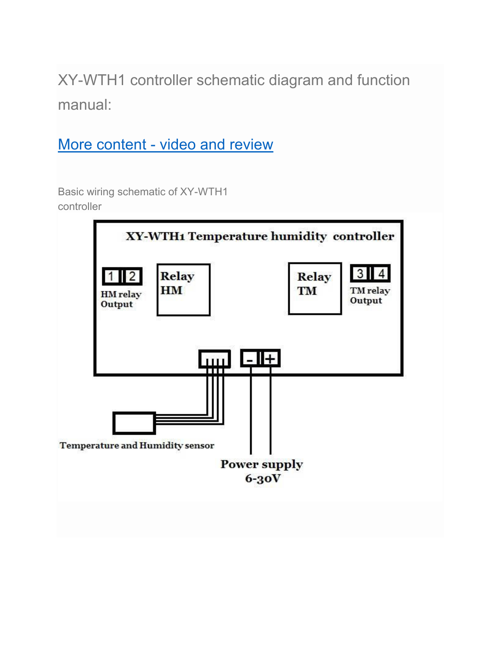XY-WTH1 controller schematic diagram and function manual:

[More content - video and review](https://usefulldata.com/xy-wth1-temperature-and-humidity-controller-dual-relay-output/)

Basic wiring schematic of XY-WTH1 controller

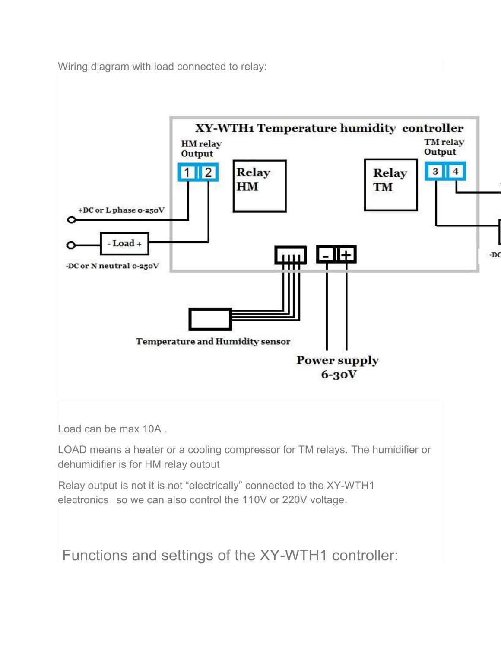Wiring diagram with load connected to relay[:](https://usefulldata.com/wp-content/uploads/2019/02/XY-WTH1-schematic-wiring-load.jpg)



Load can be max 10A .

LOAD means a heater or a cooling compressor for TM relays. The humidifier or dehumidifier is for HM relay output

Relay output is not it is not "electrically" connected to the XY-WTH1 electronics so we can also control the 110V or 220V voltage.

Functions and settings of the XY-WTH1 controller: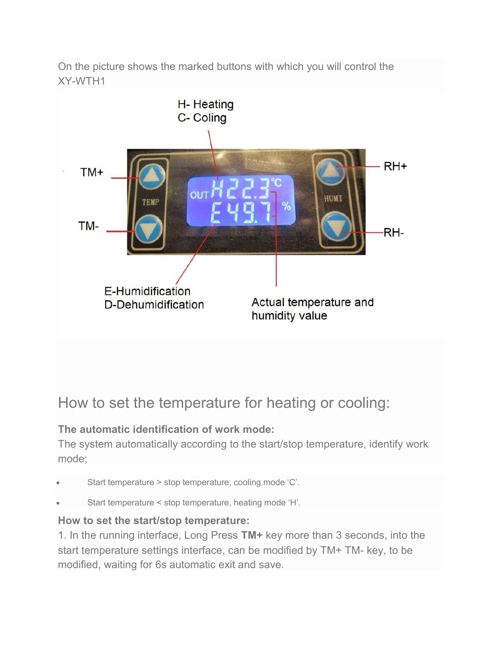On the picture shows the marked buttons with which you will control the XY-WTH1



## How to set the temperature for heating or cooling:

## **The automatic identification of work mode:**

The system automatically according to the start/stop temperature, identify work mode;

- Start temperature > stop temperature, cooling mode 'C'.
- Start temperature < stop temperature, heating mode 'H'.

## **How to set the start/stop temperature:**

1. In the running interface, Long Press **TM+** key more than 3 seconds, into the start temperature settings interface, can be modified by TM+ TM- key, to be modified, waiting for 6s automatic exit and save.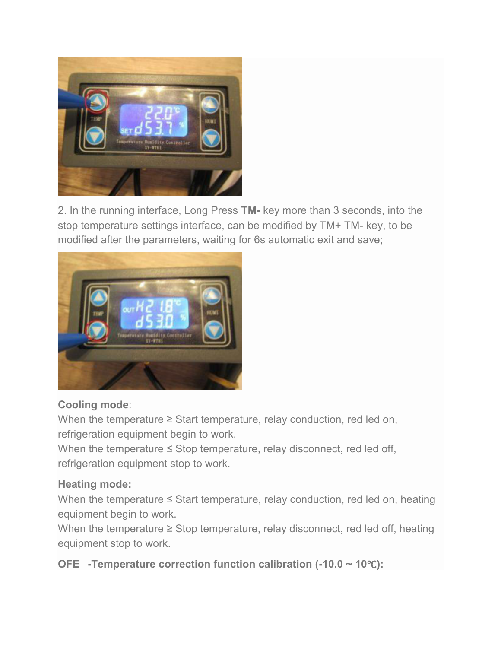

2. In the running interface, Long Press **TM-** key more than 3 seconds, into the stop temperature settings interface, can be modified by TM+ TM- key, to be modified after the parameters, waiting for 6s automatic exit and save;



#### **Cooling mode**:

When the temperature ≥ Start temperature, relay conduction, red led on, refrigeration equipment begin to work.

When the temperature  $\leq$  Stop temperature, relay disconnect, red led off, refrigeration equipment stop to work.

#### **Heating mode:**

When the temperature ≤ Start temperature, relay conduction, red led on, heating equipment begin to work.

When the temperature ≥ Stop temperature, relay disconnect, red led off, heating equipment stop to work.

**OFE -Temperature correction function calibration (-10.0 ~ 10**℃**):**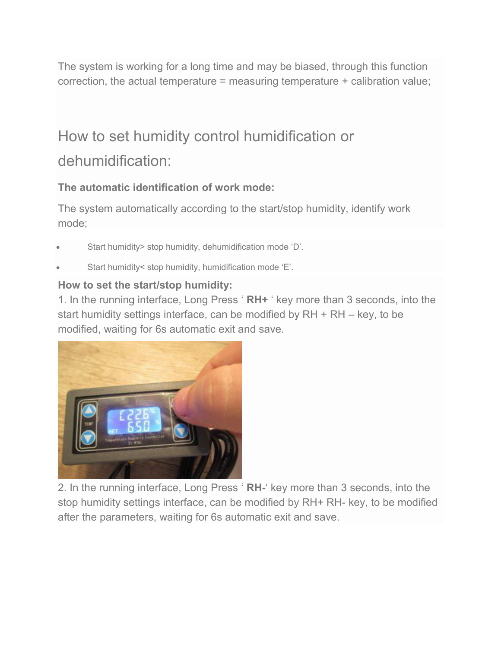The system is working for a long time and may be biased, through this function correction, the actual temperature = measuring temperature + calibration value;

# How to set humidity control humidification or dehumidification:

## **The automatic identification of work mode:**

The system automatically according to the start/stop humidity, identify work mode;

- Start humidity> stop humidity, dehumidification mode 'D'.
- Start humidity< stop humidity, humidification mode 'E'.

## **How to set the start/stop humidity:**

1. In the running interface, Long Press ' **RH+** ' key more than 3 seconds, into the start humidity settings interface, can be modified by RH + RH – key, to be modified, waiting for 6s automatic exit and save.



2. In the running interface, Long Press ' **RH-**' key more than 3 seconds, into the stop humidity settings interface, can be modified by RH+ RH- key, to be modified after the parameters, waiting for 6s automatic exit and save.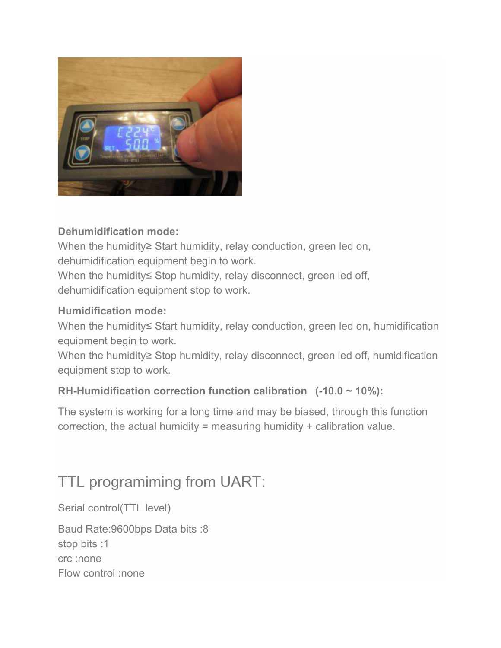

### **Dehumidification mode:**

When the humidity≥ Start humidity, relay conduction, green led on, dehumidification equipment begin to work. When the humidity≤ Stop humidity, relay disconnect, green led off, dehumidification equipment stop to work.

#### **Humidification mode:**

When the humidity≤ Start humidity, relay conduction, green led on, humidification equipment begin to work.

When the humidity≥ Stop humidity, relay disconnect, green led off, humidification equipment stop to work.

#### **RH-Humidification correction function calibration (-10.0 ~ 10%):**

The system is working for a long time and may be biased, through this function correction, the actual humidity = measuring humidity + calibration value.

# TTL programiming from UART:

Serial control(TTL level)

Baud Rate:9600bps Data bits :8 stop bits :1 crc :none Flow control :none